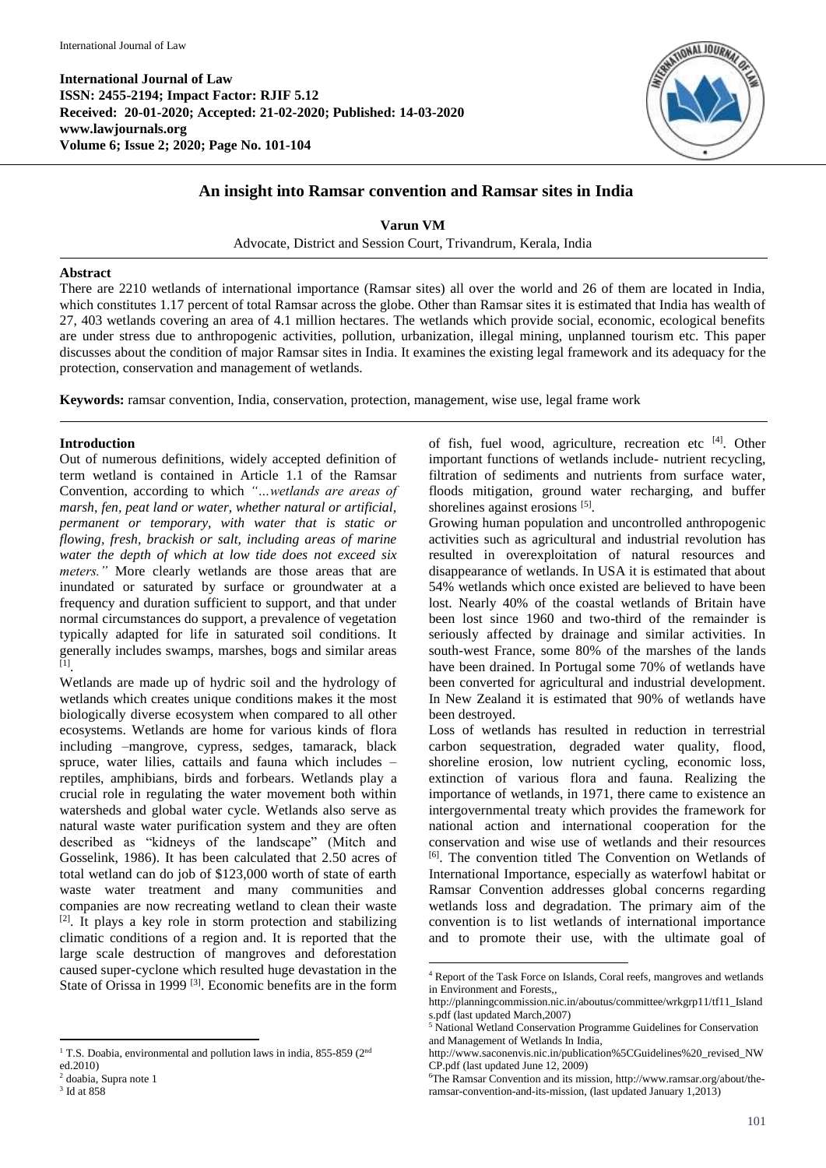**International Journal of Law ISSN: 2455-2194; Impact Factor: RJIF 5.12 Received: 20-01-2020; Accepted: 21-02-2020; Published: 14-03-2020 www.lawjournals.org Volume 6; Issue 2; 2020; Page No. 101-104**



# **An insight into Ramsar convention and Ramsar sites in India**

**Varun VM**

Advocate, District and Session Court, Trivandrum, Kerala, India

#### **Abstract**

There are 2210 wetlands of international importance (Ramsar sites) all over the world and 26 of them are located in India, which constitutes 1.17 percent of total Ramsar across the globe. Other than Ramsar sites it is estimated that India has wealth of 27, 403 wetlands covering an area of 4.1 million hectares. The wetlands which provide social, economic, ecological benefits are under stress due to anthropogenic activities, pollution, urbanization, illegal mining, unplanned tourism etc. This paper discusses about the condition of major Ramsar sites in India. It examines the existing legal framework and its adequacy for the protection, conservation and management of wetlands.

**.** 

**Keywords:** ramsar convention, India, conservation, protection, management, wise use, legal frame work

### **Introduction**

Out of numerous definitions, widely accepted definition of term wetland is contained in Article 1.1 of the Ramsar Convention, according to which *"…wetlands are areas of marsh, fen, peat land or water, whether natural or artificial, permanent or temporary, with water that is static or flowing, fresh, brackish or salt, including areas of marine water the depth of which at low tide does not exceed six meters."* More clearly wetlands are those areas that are inundated or saturated by surface or groundwater at a frequency and duration sufficient to support, and that under normal circumstances do support, a prevalence of vegetation typically adapted for life in saturated soil conditions. It generally includes swamps, marshes, bogs and similar areas [1] .

Wetlands are made up of hydric soil and the hydrology of wetlands which creates unique conditions makes it the most biologically diverse ecosystem when compared to all other ecosystems. Wetlands are home for various kinds of flora including –mangrove, cypress, sedges, tamarack, black spruce, water lilies, cattails and fauna which includes – reptiles, amphibians, birds and forbears. Wetlands play a crucial role in regulating the water movement both within watersheds and global water cycle. Wetlands also serve as natural waste water purification system and they are often described as "kidneys of the landscape" (Mitch and Gosselink, 1986). It has been calculated that 2.50 acres of total wetland can do job of \$123,000 worth of state of earth waste water treatment and many communities and companies are now recreating wetland to clean their waste  $[2]$ . It plays a key role in storm protection and stabilizing climatic conditions of a region and. It is reported that the large scale destruction of mangroves and deforestation caused super-cyclone which resulted huge devastation in the State of Orissa in 1999<sup>[3]</sup>. Economic benefits are in the form

**.** 

3 Id at 858

of fish, fuel wood, agriculture, recreation etc [4]. Other important functions of wetlands include- nutrient recycling, filtration of sediments and nutrients from surface water, floods mitigation, ground water recharging, and buffer shorelines against erosions [5].

Growing human population and uncontrolled anthropogenic activities such as agricultural and industrial revolution has resulted in overexploitation of natural resources and disappearance of wetlands. In USA it is estimated that about 54% wetlands which once existed are believed to have been lost. Nearly 40% of the coastal wetlands of Britain have been lost since 1960 and two-third of the remainder is seriously affected by drainage and similar activities. In south-west France, some 80% of the marshes of the lands have been drained. In Portugal some 70% of wetlands have been converted for agricultural and industrial development. In New Zealand it is estimated that 90% of wetlands have been destroyed.

Loss of wetlands has resulted in reduction in terrestrial carbon sequestration, degraded water quality, flood, shoreline erosion, low nutrient cycling, economic loss, extinction of various flora and fauna. Realizing the importance of wetlands, in 1971, there came to existence an intergovernmental treaty which provides the framework for national action and international cooperation for the conservation and wise use of wetlands and their resources [6] . The convention titled The Convention on Wetlands of International Importance, especially as waterfowl habitat or Ramsar Convention addresses global concerns regarding wetlands loss and degradation. The primary aim of the convention is to list wetlands of international importance and to promote their use, with the ultimate goal of

<sup>&</sup>lt;sup>1</sup> T.S. Doabia, environmental and pollution laws in india, 855-859 ( $2<sup>nd</sup>$ 

ed.2010)

<sup>2</sup> doabia, Supra note 1

<sup>4</sup> Report of the Task Force on Islands, Coral reefs, mangroves and wetlands in Environment and Forests,,

http://planningcommission.nic.in/aboutus/committee/wrkgrp11/tf11\_Island s.pdf (last updated March,2007)

<sup>5</sup> National Wetland Conservation Programme Guidelines for Conservation and Management of Wetlands In India,

http://www.saconenvis.nic.in/publication%5CGuidelines%20\_revised\_NW CP.pdf (last updated June 12, 2009)

<sup>6</sup>The Ramsar Convention and its mission, http://www.ramsar.org/about/theramsar-convention-and-its-mission, (last updated January 1,2013)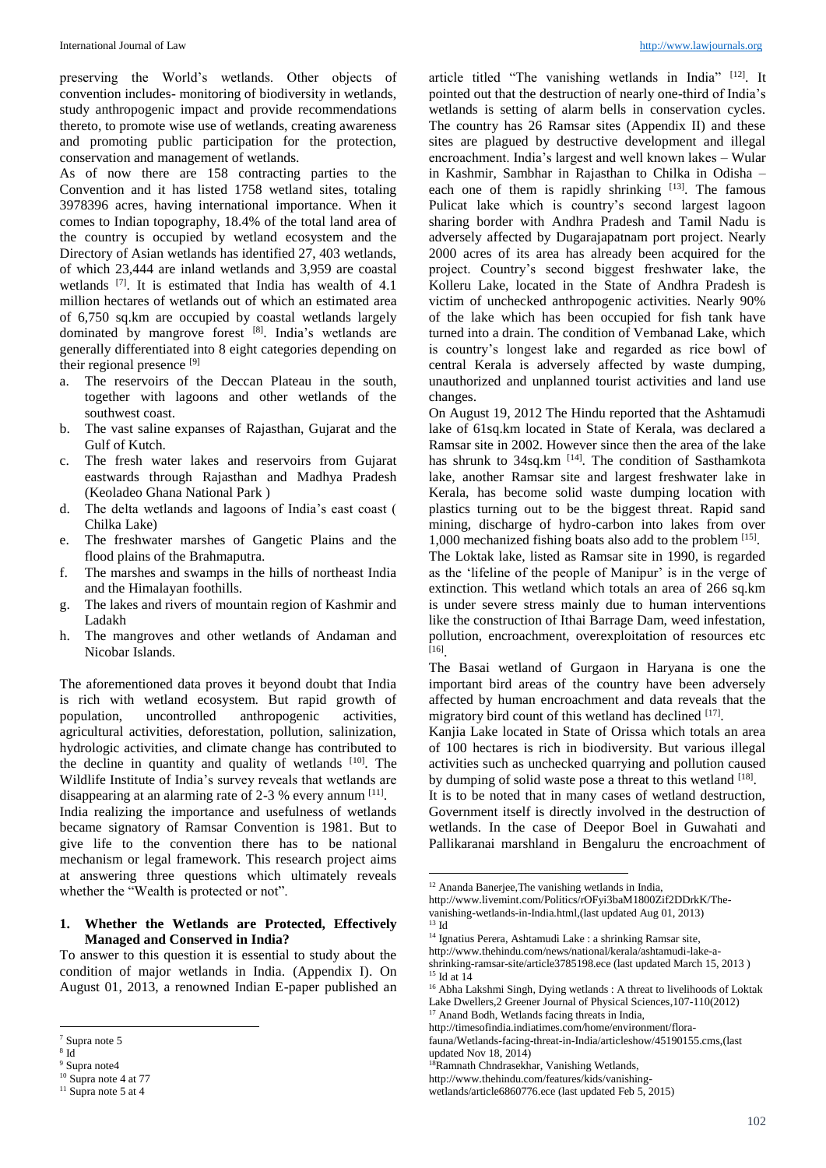preserving the World's wetlands. Other objects of convention includes- monitoring of biodiversity in wetlands, study anthropogenic impact and provide recommendations thereto, to promote wise use of wetlands, creating awareness and promoting public participation for the protection, conservation and management of wetlands.

As of now there are 158 contracting parties to the Convention and it has listed 1758 wetland sites, totaling 3978396 acres, having international importance. When it comes to Indian topography, 18.4% of the total land area of the country is occupied by wetland ecosystem and the Directory of Asian wetlands has identified 27, 403 wetlands, of which 23,444 are inland wetlands and 3,959 are coastal wetlands  $[7]$ . It is estimated that India has wealth of 4.1 million hectares of wetlands out of which an estimated area of 6,750 sq.km are occupied by coastal wetlands largely dominated by mangrove forest [8] . India's wetlands are generally differentiated into 8 eight categories depending on their regional presence [9]

- a. The reservoirs of the Deccan Plateau in the south, together with lagoons and other wetlands of the southwest coast.
- b. The vast saline expanses of Rajasthan, Gujarat and the Gulf of Kutch.
- c. The fresh water lakes and reservoirs from Gujarat eastwards through Rajasthan and Madhya Pradesh (Keoladeo Ghana National Park )
- d. The delta wetlands and lagoons of India's east coast ( Chilka Lake)
- e. The freshwater marshes of Gangetic Plains and the flood plains of the Brahmaputra.
- f. The marshes and swamps in the hills of northeast India and the Himalayan foothills.
- g. The lakes and rivers of mountain region of Kashmir and Ladakh
- h. The mangroves and other wetlands of Andaman and Nicobar Islands.

The aforementioned data proves it beyond doubt that India is rich with wetland ecosystem. But rapid growth of population, uncontrolled anthropogenic activities, agricultural activities, deforestation, pollution, salinization, hydrologic activities, and climate change has contributed to the decline in quantity and quality of wetlands  $[10]$ . The Wildlife Institute of India's survey reveals that wetlands are disappearing at an alarming rate of 2-3 % every annum [11]. India realizing the importance and usefulness of wetlands became signatory of Ramsar Convention is 1981. But to give life to the convention there has to be national mechanism or legal framework. This research project aims at answering three questions which ultimately reveals whether the "Wealth is protected or not".

### **1. Whether the Wetlands are Protected, Effectively Managed and Conserved in India?**

To answer to this question it is essential to study about the condition of major wetlands in India. (Appendix I). On August 01, 2013, a renowned Indian E-paper published an

1

article titled "The vanishing wetlands in India" [12]. It pointed out that the destruction of nearly one-third of India's wetlands is setting of alarm bells in conservation cycles. The country has 26 Ramsar sites (Appendix II) and these sites are plagued by destructive development and illegal encroachment. India's largest and well known lakes – Wular in Kashmir, Sambhar in Rajasthan to Chilka in Odisha – each one of them is rapidly shrinking  $[13]$ . The famous Pulicat lake which is country's second largest lagoon sharing border with Andhra Pradesh and Tamil Nadu is adversely affected by Dugarajapatnam port project. Nearly 2000 acres of its area has already been acquired for the project. Country's second biggest freshwater lake, the Kolleru Lake, located in the State of Andhra Pradesh is victim of unchecked anthropogenic activities. Nearly 90% of the lake which has been occupied for fish tank have turned into a drain. The condition of Vembanad Lake, which is country's longest lake and regarded as rice bowl of central Kerala is adversely affected by waste dumping, unauthorized and unplanned tourist activities and land use changes.

On August 19, 2012 The Hindu reported that the Ashtamudi lake of 61sq.km located in State of Kerala, was declared a Ramsar site in 2002. However since then the area of the lake has shrunk to 34sq.km<sup>[14]</sup>. The condition of Sasthamkota lake, another Ramsar site and largest freshwater lake in Kerala, has become solid waste dumping location with plastics turning out to be the biggest threat. Rapid sand mining, discharge of hydro-carbon into lakes from over 1,000 mechanized fishing boats also add to the problem [15] .

The Loktak lake, listed as Ramsar site in 1990, is regarded as the 'lifeline of the people of Manipur' is in the verge of extinction. This wetland which totals an area of 266 sq.km is under severe stress mainly due to human interventions like the construction of Ithai Barrage Dam, weed infestation, pollution, encroachment, overexploitation of resources etc [16] .

The Basai wetland of Gurgaon in Haryana is one the important bird areas of the country have been adversely affected by human encroachment and data reveals that the migratory bird count of this wetland has declined [17].

Kanjia Lake located in State of Orissa which totals an area of 100 hectares is rich in biodiversity. But various illegal activities such as unchecked quarrying and pollution caused by dumping of solid waste pose a threat to this wetland [18].

It is to be noted that in many cases of wetland destruction, Government itself is directly involved in the destruction of wetlands. In the case of Deepor Boel in Guwahati and Pallikaranai marshland in Bengaluru the encroachment of

1

<sup>7</sup> Supra note 5

<sup>8</sup> Id

<sup>&</sup>lt;sup>9</sup> Supra note4 <sup>10</sup> Supra note 4 at 77

 $11$  Supra note 5 at 4

<sup>12</sup> Ananda Banerjee,The vanishing wetlands in India,

http://www.livemint.com/Politics/rOFyi3baM1800Zif2DDrkK/Thevanishing-wetlands-in-India.html,(last updated Aug 01, 2013)  $^{13}$  Id

<sup>&</sup>lt;sup>14</sup> Ignatius Perera, Ashtamudi Lake : a shrinking Ramsar site,

http://www.thehindu.com/news/national/kerala/ashtamudi-lake-ashrinking-ramsar-site/article3785198.ece (last updated March 15, 2013 )  $^{15}$  Id at  $14\,$ 

<sup>&</sup>lt;sup>16</sup> Abha Lakshmi Singh, Dying wetlands : A threat to livelihoods of Loktak Lake Dwellers,2 Greener Journal of Physical Sciences,107-110(2012)

<sup>&</sup>lt;sup>17</sup> Anand Bodh, Wetlands facing threats in India,

http://timesofindia.indiatimes.com/home/environment/florafauna/Wetlands-facing-threat-in-India/articleshow/45190155.cms,(last updated Nov 18, 2014)

<sup>18</sup>Ramnath Chndrasekhar, Vanishing Wetlands,

http://www.thehindu.com/features/kids/vanishing-

wetlands/article6860776.ece (last updated Feb 5, 2015)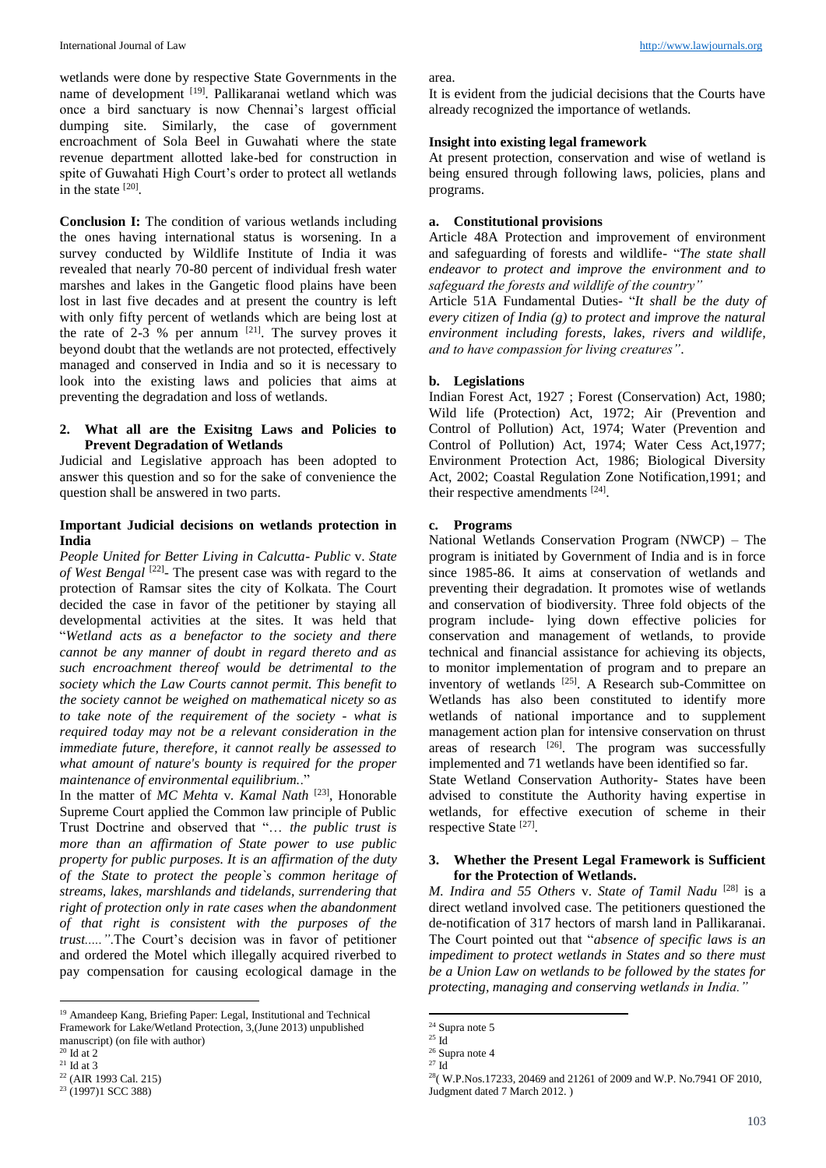wetlands were done by respective State Governments in the name of development <sup>[19]</sup>. Pallikaranai wetland which was once a bird sanctuary is now Chennai's largest official dumping site. Similarly, the case of government encroachment of Sola Beel in Guwahati where the state revenue department allotted lake-bed for construction in spite of Guwahati High Court's order to protect all wetlands in the state  $^{[20]}$ .

**Conclusion I:** The condition of various wetlands including the ones having international status is worsening. In a survey conducted by Wildlife Institute of India it was revealed that nearly 70-80 percent of individual fresh water marshes and lakes in the Gangetic flood plains have been lost in last five decades and at present the country is left with only fifty percent of wetlands which are being lost at the rate of 2-3 % per annum  $[21]$ . The survey proves it beyond doubt that the wetlands are not protected, effectively managed and conserved in India and so it is necessary to look into the existing laws and policies that aims at preventing the degradation and loss of wetlands.

### **2. What all are the Exisitng Laws and Policies to Prevent Degradation of Wetlands**

Judicial and Legislative approach has been adopted to answer this question and so for the sake of convenience the question shall be answered in two parts.

## **Important Judicial decisions on wetlands protection in India**

*People United for Better Living in Calcutta- Public* v. *State*  of West Bengal<sup>[22]</sup>- The present case was with regard to the protection of Ramsar sites the city of Kolkata. The Court decided the case in favor of the petitioner by staying all developmental activities at the sites. It was held that "*Wetland acts as a benefactor to the society and there cannot be any manner of doubt in regard thereto and as such encroachment thereof would be detrimental to the society which the Law Courts cannot permit. This benefit to the society cannot be weighed on mathematical nicety so as to take note of the requirement of the society - what is required today may not be a relevant consideration in the immediate future, therefore, it cannot really be assessed to what amount of nature's bounty is required for the proper maintenance of environmental equilibrium.*."

In the matter of *MC Mehta* v*. Kamal Nath* [23] , Honorable Supreme Court applied the Common law principle of Public Trust Doctrine and observed that "… *the public trust is more than an affirmation of State power to use public property for public purposes. It is an affirmation of the duty of the State to protect the people`s common heritage of streams, lakes, marshlands and tidelands, surrendering that right of protection only in rate cases when the abandonment of that right is consistent with the purposes of the trust....."*.The Court's decision was in favor of petitioner and ordered the Motel which illegally acquired riverbed to pay compensation for causing ecological damage in the

1

area.

It is evident from the judicial decisions that the Courts have already recognized the importance of wetlands.

### **Insight into existing legal framework**

At present protection, conservation and wise of wetland is being ensured through following laws, policies, plans and programs.

## **a. Constitutional provisions**

Article 48A Protection and improvement of environment and safeguarding of forests and wildlife- "*The state shall endeavor to protect and improve the environment and to safeguard the forests and wildlife of the country"*

Article 51A Fundamental Duties- "*It shall be the duty of every citizen of India (g) to protect and improve the natural environment including forests, lakes, rivers and wildlife, and to have compassion for living creatures"*.

### **b. Legislations**

Indian Forest Act, 1927 ; Forest (Conservation) Act, 1980; Wild life (Protection) Act, 1972; Air (Prevention and Control of Pollution) Act, 1974; Water (Prevention and Control of Pollution) Act, 1974; Water Cess Act,1977; Environment Protection Act, 1986; Biological Diversity Act, 2002; Coastal Regulation Zone Notification,1991; and their respective amendments [24].

### **c. Programs**

National Wetlands Conservation Program (NWCP) – The program is initiated by Government of India and is in force since 1985-86. It aims at conservation of wetlands and preventing their degradation. It promotes wise of wetlands and conservation of biodiversity. Three fold objects of the program include- lying down effective policies for conservation and management of wetlands, to provide technical and financial assistance for achieving its objects, to monitor implementation of program and to prepare an inventory of wetlands <sup>[25]</sup>. A Research sub-Committee on Wetlands has also been constituted to identify more wetlands of national importance and to supplement management action plan for intensive conservation on thrust areas of research  $[26]$ . The program was successfully implemented and 71 wetlands have been identified so far.

State Wetland Conservation Authority- States have been advised to constitute the Authority having expertise in wetlands, for effective execution of scheme in their respective State [27].

### **3. Whether the Present Legal Framework is Sufficient for the Protection of Wetlands.**

*M. Indira and 55 Others* v. *State of Tamil Nadu* [28] is a direct wetland involved case. The petitioners questioned the de-notification of 317 hectors of marsh land in Pallikaranai. The Court pointed out that "*absence of specific laws is an impediment to protect wetlands in States and so there must be a Union Law on wetlands to be followed by the states for protecting, managing and conserving wetlands in India."*

**.** 

<sup>19</sup> Amandeep Kang, Briefing Paper: Legal, Institutional and Technical Framework for Lake/Wetland Protection, 3,(June 2013) unpublished manuscript) (on file with author)

 $^{20}$  Id at  $2\,$ 

 $21$  Id at 3 <sup>22</sup> (AIR 1993 Cal. 215)

<sup>23</sup> (1997)1 SCC 388)

 $24$  Supra note 5

 $^{\rm 25}$  Id

<sup>26</sup> Supra note 4  $^\mathrm{27}$  Id

<sup>28</sup>( W.P.Nos.17233, 20469 and 21261 of 2009 and W.P. No.7941 OF 2010, Judgment dated 7 March 2012. )